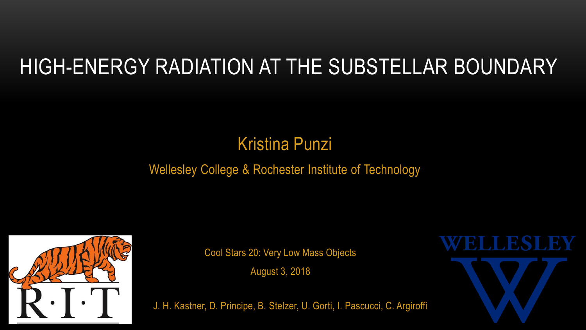# HIGH-ENERGY RADIATION AT THE SUBSTELLAR BOUNDARY

## Kristina Punzi

#### Wellesley College & Rochester Institute of Technology



Cool Stars 20: Very Low Mass Objects

August 3, 2018

J. H. Kastner, D. Principe, B. Stelzer, U. Gorti, I. Pascucci, C. Argiroffi

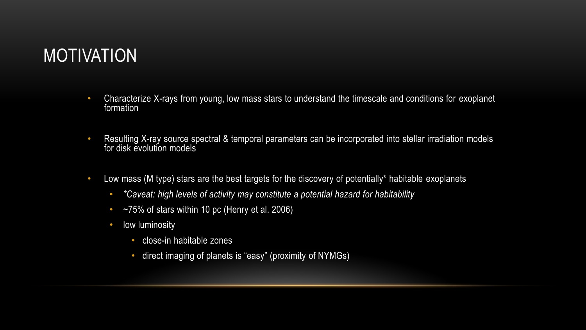#### MOTIVATION

- Characterize X-rays from young, low mass stars to understand the timescale and conditions for exoplanet formation
- Resulting X-ray source spectral & temporal parameters can be incorporated into stellar irradiation models for disk evolution models
- Low mass (M type) stars are the best targets for the discovery of potentially\* habitable exoplanets
	- *\*Caveat: high levels of activity may constitute a potential hazard for habitability*
	- $~\sim$ 75% of stars within 10 pc (Henry et al. 2006)
	- low luminosity
		- close-in habitable zones
		- direct imaging of planets is "easy" (proximity of NYMGs)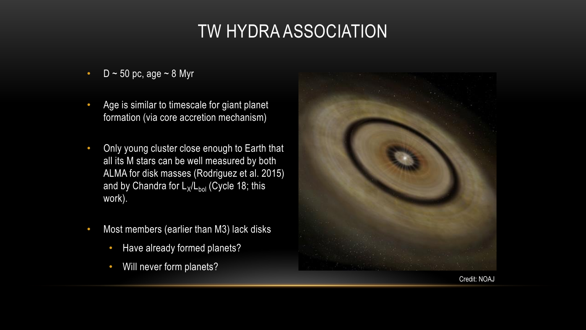## TW HYDRA ASSOCIATION

- D  $\sim$  50 pc, age  $\sim$  8 Myr
- Age is similar to timescale for giant planet formation (via core accretion mechanism)
- Only young cluster close enough to Earth that all its M stars can be well measured by both ALMA for disk masses (Rodriguez et al. 2015) and by Chandra for L<sub>x</sub>/L<sub>bol</sub> (Cycle 18; this work).
- Most members (earlier than M3) lack disks
	- Have already formed planets?
	- Will never form planets?



Credit: NOAJ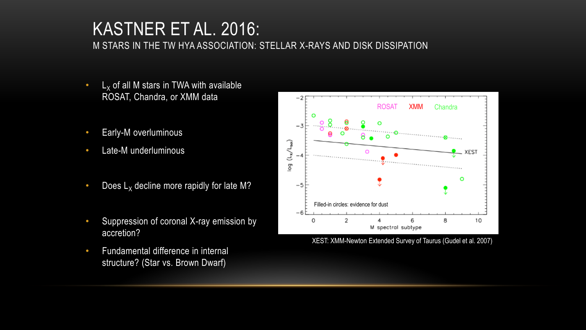#### KASTNER ET AL. 2016: M STARS IN THE TW HYA ASSOCIATION: STELLAR X-RAYS AND DISK DISSIPATION

- L<sub>x</sub> of all M stars in TWA with available ROSAT, Chandra, or XMM data
- Early-M overluminous
- Late-M underluminous
- Does  $L_X$  decline more rapidly for late M?
- Suppression of coronal X-ray emission by accretion?
- Fundamental difference in internal structure? (Star vs. Brown Dwarf)



XEST: XMM-Newton Extended Survey of Taurus (Gudel et al. 2007)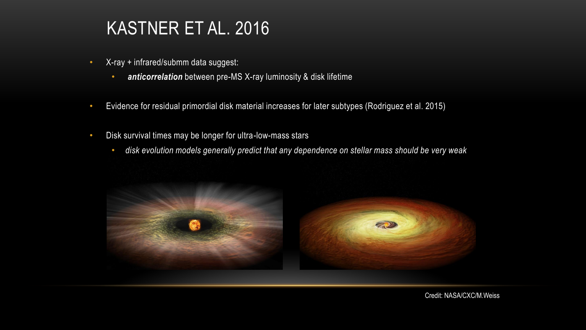#### KASTNER ET AL. 2016

- X-ray + infrared/submm data suggest:
	- *anticorrelation* between pre-MS X-ray luminosity & disk lifetime
- Evidence for residual primordial disk material increases for later subtypes (Rodriguez et al. 2015)
- Disk survival times may be longer for ultra-low-mass stars
	- *disk evolution models generally predict that any dependence on stellar mass should be very weak*

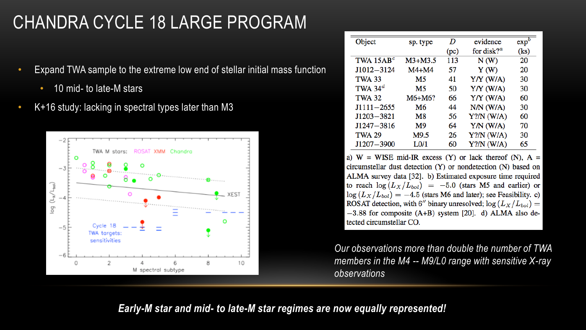## CHANDRA CYCLE 18 LARGE PROGRAM

- Expand TWA sample to the extreme low end of stellar initial mass function
	- 10 mid- to late-M stars
- K+16 study: lacking in spectral types later than M3



| Object         | sp. type          | D    | evidence                      | exp <sup>b</sup> |
|----------------|-------------------|------|-------------------------------|------------------|
|                |                   | (pc) | for disk? <sup><i>a</i></sup> | (ks)             |
| TWA $15AB^c$   | $M3+M3.5$         | 113  | N(W)                          | 20               |
| $J1012 - 3124$ | $M4+M4$           | 57   | Y(W)                          | 20               |
| <b>TWA 33</b>  | M5                | 41   | $Y/Y$ (W/A)                   | 30               |
| TWA 34 $^d$    | M5                | 50   | $Y/Y$ (W/A)                   | 30               |
| <b>TWA 32</b>  | $M6+M6?$          | 66   | $Y/Y$ (W/A)                   | 60               |
| $J1111 - 2655$ | M6                | 44   | $N/N$ ( $W/A$ )               | 30               |
| $J1203 - 3821$ | M <sub>8</sub>    | 56   | $Y?/N$ (W/A)                  | 60               |
| $J1247 - 3816$ | M9                | 64   | $Y/N$ (W/A)                   | 70               |
| <b>TWA 29</b>  | M9.5              | 26   | $Y?/N$ (W/A)                  | 30               |
| $J1207 - 3900$ | L <sub>0</sub> /1 | 60   | $Y?/N$ (W/A)                  | 65               |

a)  $W = WISE$  mid-IR excess (Y) or lack thereof (N),  $A =$ circumstellar dust detection (Y) or nondetection (N) based on ALMA survey data [32]. b) Estimated exposure time required to reach  $\log(L_X/L_{bol}) = -5.0$  (stars M5 and earlier) or  $\log(L_X/L_{bol}) = -4.5$  (stars M6 and later); see Feasibility. c) ROSAT detection, with 6" binary unresolved;  $\log(L_X/L_{bol})$  =  $-3.88$  for composite (A+B) system [20]. d) ALMA also detected circumstellar CO.

*Our observations more than double the number of TWA members in the M4 -- M9/L0 range with sensitive X-ray observations*

*Early-M star and mid- to late-M star regimes are now equally represented!*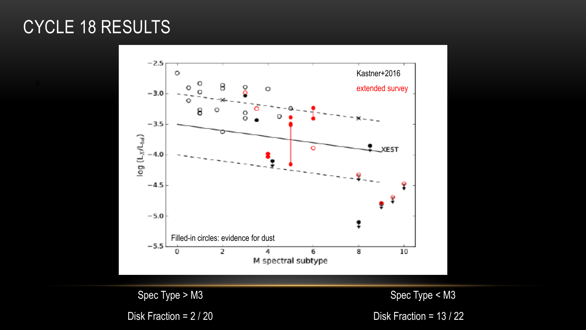#### CYCLE 18 RESULTS



Spec Type > M3 Spec Type < M3

Disk Fraction = 2 / 20 Disk Fraction = 13 / 22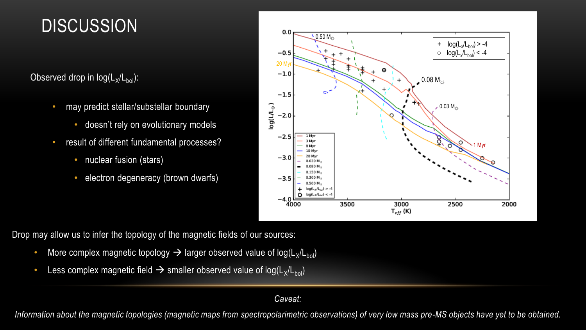#### **DISCUSSION**

Observed drop in  $log(L_x/L_{bol})$ :

- may predict stellar/substellar boundary
	- doesn't rely on evolutionary models
- result of different fundamental processes?
	- nuclear fusion (stars)
	- electron degeneracy (brown dwarfs)



Drop may allow us to infer the topology of the magnetic fields of our sources:

- More complex magnetic topology  $\rightarrow$  larger observed value of log(L<sub>X</sub>/L<sub>bol</sub>)
- Less complex magnetic field  $\rightarrow$  smaller observed value of log(L<sub>X</sub>/L<sub>bol</sub>)

#### *Caveat:*

Information about the magnetic topologies (magnetic maps from spectropolarimetric observations) of very low mass pre-MS objects have yet to be obtained.